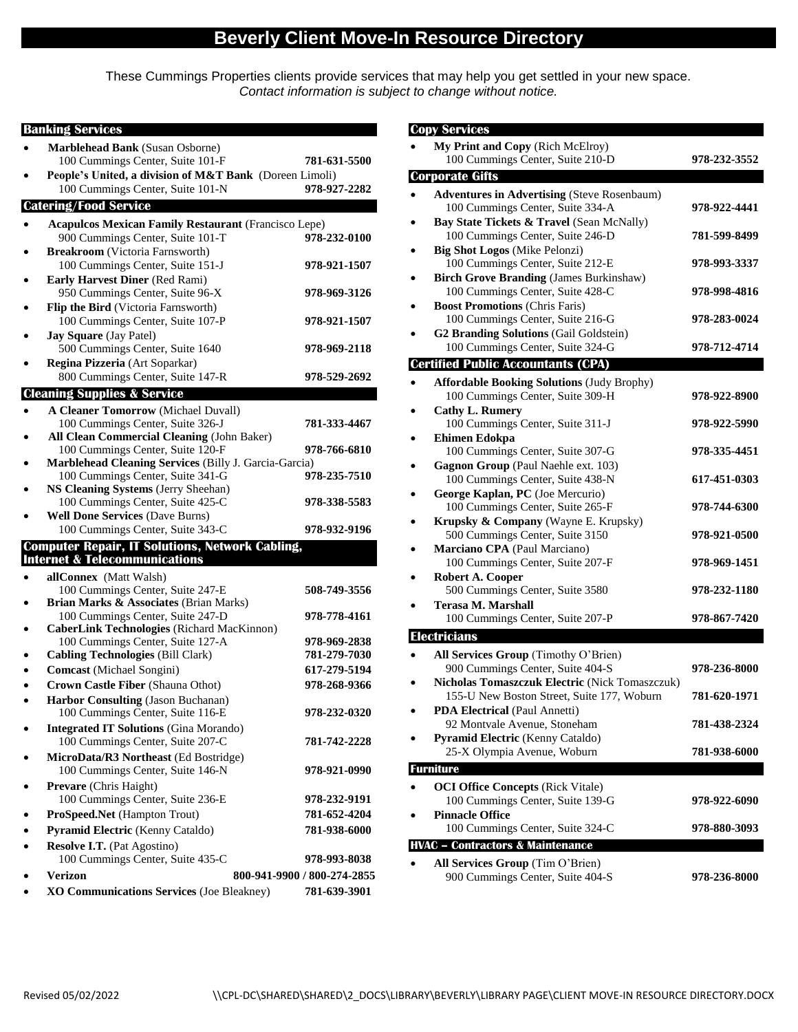## **Beverly Client Move-In Resource Directory**

These Cummings Properties clients provide services that may help you get settled in your new space. *Contact information is subject to change without notice.*

| <b>Banking Services</b>                                                                   |                             |
|-------------------------------------------------------------------------------------------|-----------------------------|
| Marblehead Bank (Susan Osborne)                                                           |                             |
| 100 Cummings Center, Suite 101-F                                                          | 781-631-5500                |
| People's United, a division of M&T Bank (Doreen Limoli)                                   |                             |
| 100 Cummings Center, Suite 101-N                                                          | 978-927-2282                |
| <b>Catering/Food Service</b>                                                              |                             |
| <b>Acapulcos Mexican Family Restaurant (Francisco Lepe)</b>                               |                             |
| 900 Cummings Center, Suite 101-T                                                          | 978-232-0100                |
| <b>Breakroom</b> (Victoria Farnsworth)                                                    |                             |
| 100 Cummings Center, Suite 151-J                                                          | 978-921-1507                |
| <b>Early Harvest Diner (Red Rami)</b>                                                     |                             |
| 950 Cummings Center, Suite 96-X                                                           | 978-969-3126                |
| Flip the Bird (Victoria Farnsworth)                                                       |                             |
| 100 Cummings Center, Suite 107-P<br><b>Jay Square</b> (Jay Patel)                         | 978-921-1507                |
| 500 Cummings Center, Suite 1640                                                           | 978-969-2118                |
| Regina Pizzeria (Art Soparkar)                                                            |                             |
| 800 Cummings Center, Suite 147-R                                                          | 978-529-2692                |
| <b>Cleaning Supplies &amp; Service</b>                                                    |                             |
| <b>A Cleaner Tomorrow (Michael Duvall)</b>                                                |                             |
| 100 Cummings Center, Suite 326-J                                                          | 781-333-4467                |
| All Clean Commercial Cleaning (John Baker)                                                |                             |
| 100 Cummings Center, Suite 120-F                                                          | 978-766-6810                |
| Marblehead Cleaning Services (Billy J. Garcia-Garcia)<br>100 Cummings Center, Suite 341-G | 978-235-7510                |
| NS Cleaning Systems (Jerry Sheehan)                                                       |                             |
| 100 Cummings Center, Suite 425-C                                                          | 978-338-5583                |
| <b>Well Done Services (Dave Burns)</b>                                                    |                             |
| 100 Cummings Center, Suite 343-C                                                          | 978-932-9196                |
| <b>Computer Repair, IT Solutions, Network Cabling,</b>                                    |                             |
| <b>Internet &amp; Telecommunications</b>                                                  |                             |
| allConnex (Matt Walsh)                                                                    |                             |
| 100 Cummings Center, Suite 247-E                                                          | 508-749-3556                |
| Brian Marks & Associates (Brian Marks)<br>100 Cummings Center, Suite 247-D                | 978-778-4161                |
| <b>CaberLink Technologies (Richard MacKinnon)</b>                                         |                             |
| 100 Cummings Center, Suite 127-A                                                          | 978-969-2838                |
| <b>Cabling Technologies (Bill Clark)</b>                                                  | 781-279-7030                |
| Comcast (Michael Songini)                                                                 | 617-279-5194                |
| Crown Castle Fiber (Shauna Othot)                                                         | 978-268-9366                |
| Harbor Consulting (Jason Buchanan)                                                        |                             |
| 100 Cummings Center, Suite 116-E                                                          | 978-232-0320                |
| <b>Integrated IT Solutions (Gina Morando)</b>                                             |                             |
| 100 Cummings Center, Suite 207-C                                                          | 781-742-2228                |
| MicroData/R3 Northeast (Ed Bostridge)<br>100 Cummings Center, Suite 146-N                 | 978-921-0990                |
| Prevare (Chris Haight)                                                                    |                             |
| 100 Cummings Center, Suite 236-E                                                          | 978-232-9191                |
| ProSpeed.Net (Hampton Trout)                                                              | 781-652-4204                |
| Pyramid Electric (Kenny Cataldo)                                                          | 781-938-6000                |
| Resolve I.T. (Pat Agostino)                                                               |                             |
| 100 Cummings Center, Suite 435-C                                                          | 978-993-8038                |
| <b>Verizon</b>                                                                            | 800-941-9900 / 800-274-2855 |
| XO Communications Services (Joe Bleakney)                                                 | 781-639-3901                |

|                                             | <b>Copy Services</b>                                             |              |  |
|---------------------------------------------|------------------------------------------------------------------|--------------|--|
|                                             | My Print and Copy (Rich McElroy)                                 |              |  |
|                                             | 100 Cummings Center, Suite 210-D                                 | 978-232-3552 |  |
|                                             | <b>Corporate Gifts</b>                                           |              |  |
|                                             | <b>Adventures in Advertising (Steve Rosenbaum)</b>               |              |  |
|                                             | 100 Cummings Center, Suite 334-A                                 | 978-922-4441 |  |
|                                             | Bay State Tickets & Travel (Sean McNally)                        |              |  |
|                                             | 100 Cummings Center, Suite 246-D                                 | 781-599-8499 |  |
|                                             | <b>Big Shot Logos (Mike Pelonzi)</b>                             |              |  |
|                                             | 100 Cummings Center, Suite 212-E                                 | 978-993-3337 |  |
|                                             | <b>Birch Grove Branding (James Burkinshaw)</b>                   |              |  |
|                                             | 100 Cummings Center, Suite 428-C                                 | 978-998-4816 |  |
|                                             | <b>Boost Promotions (Chris Faris)</b>                            |              |  |
|                                             | 100 Cummings Center, Suite 216-G                                 | 978-283-0024 |  |
|                                             | <b>G2 Branding Solutions (Gail Goldstein)</b>                    |              |  |
|                                             | 100 Cummings Center, Suite 324-G                                 | 978-712-4714 |  |
|                                             | <b>Certified Public Accountants (CPA)</b>                        |              |  |
|                                             | <b>Affordable Booking Solutions (Judy Brophy)</b>                |              |  |
|                                             | 100 Cummings Center, Suite 309-H                                 | 978-922-8900 |  |
|                                             | <b>Cathy L. Rumery</b>                                           |              |  |
|                                             | 100 Cummings Center, Suite 311-J                                 | 978-922-5990 |  |
|                                             | <b>Ehimen Edokpa</b>                                             |              |  |
|                                             | 100 Cummings Center, Suite 307-G                                 | 978-335-4451 |  |
|                                             | Gagnon Group (Paul Naehle ext. 103)                              |              |  |
|                                             | 100 Cummings Center, Suite 438-N                                 | 617-451-0303 |  |
|                                             | George Kaplan, PC (Joe Mercurio)                                 |              |  |
|                                             | 100 Cummings Center, Suite 265-F                                 | 978-744-6300 |  |
|                                             | Krupsky & Company (Wayne E. Krupsky)                             |              |  |
|                                             | 500 Cummings Center, Suite 3150                                  | 978-921-0500 |  |
|                                             | Marciano CPA (Paul Marciano)                                     |              |  |
|                                             | 100 Cummings Center, Suite 207-F                                 | 978-969-1451 |  |
|                                             | Robert A. Cooper                                                 |              |  |
|                                             | 500 Cummings Center, Suite 3580<br><b>Terasa M. Marshall</b>     | 978-232-1180 |  |
|                                             | 100 Cummings Center, Suite 207-P                                 | 978-867-7420 |  |
|                                             |                                                                  |              |  |
|                                             | <b>Electricians</b>                                              |              |  |
|                                             | All Services Group (Timothy O'Brien)                             |              |  |
|                                             | 900 Cummings Center, Suite 404-S                                 | 978-236-8000 |  |
|                                             | Nicholas Tomaszczuk Electric (Nick Tomaszczuk)                   |              |  |
|                                             | 155-U New Boston Street, Suite 177, Woburn                       | 781-620-1971 |  |
|                                             | PDA Electrical (Paul Annetti)                                    |              |  |
|                                             | 92 Montvale Avenue, Stoneham<br>Pyramid Electric (Kenny Cataldo) | 781-438-2324 |  |
|                                             | 25-X Olympia Avenue, Woburn                                      | 781-938-6000 |  |
|                                             |                                                                  |              |  |
|                                             | <b>Furniture</b>                                                 |              |  |
|                                             | <b>OCI Office Concepts (Rick Vitale)</b>                         |              |  |
|                                             | 100 Cummings Center, Suite 139-G<br><b>Pinnacle Office</b>       | 978-922-6090 |  |
|                                             | 100 Cummings Center, Suite 324-C                                 | 978-880-3093 |  |
|                                             |                                                                  |              |  |
| <b>HVAC - Contractors &amp; Maintenance</b> |                                                                  |              |  |
|                                             | All Services Group (Tim O'Brien)                                 |              |  |
|                                             | 900 Cummings Center, Suite 404-S                                 | 978-236-8000 |  |